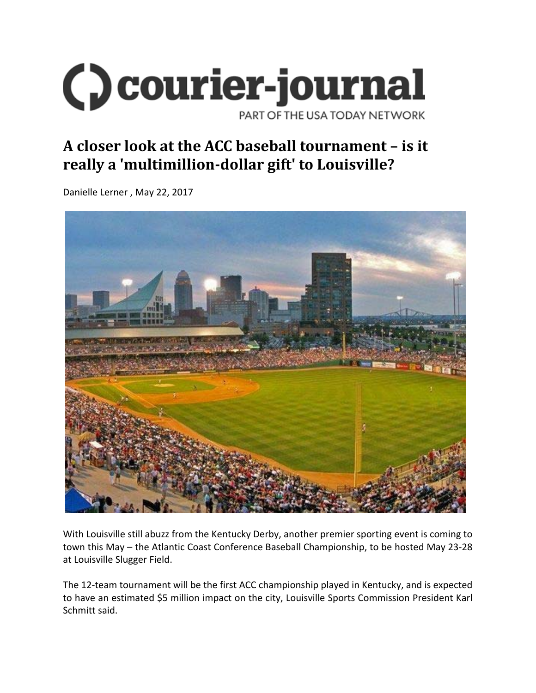

## **A closer look at the ACC baseball tournament – is it really a 'multimillion‐dollar gift' to Louisville?**

Danielle Lerner , May 22, 2017



With Louisville still abuzz from the Kentucky Derby, another premier sporting event is coming to town this May – the Atlantic Coast Conference Baseball Championship, to be hosted May 23‐28 at Louisville Slugger Field.

The 12-team tournament will be the first ACC championship played in Kentucky, and is expected to have an estimated \$5 million impact on the city, Louisville Sports Commission President Karl Schmitt said.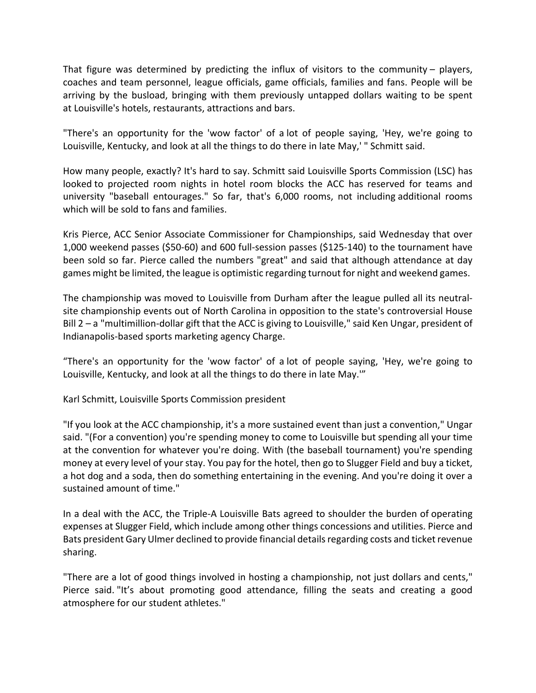That figure was determined by predicting the influx of visitors to the community – players, coaches and team personnel, league officials, game officials, families and fans. People will be arriving by the busload, bringing with them previously untapped dollars waiting to be spent at Louisville's hotels, restaurants, attractions and bars.

"There's an opportunity for the 'wow factor' of a lot of people saying, 'Hey, we're going to Louisville, Kentucky, and look at all the things to do there in late May,' " Schmitt said.

How many people, exactly? It's hard to say. Schmitt said Louisville Sports Commission (LSC) has looked to projected room nights in hotel room blocks the ACC has reserved for teams and university "baseball entourages." So far, that's 6,000 rooms, not including additional rooms which will be sold to fans and families.

Kris Pierce, ACC Senior Associate Commissioner for Championships, said Wednesday that over 1,000 weekend passes (\$50‐60) and 600 full‐session passes (\$125‐140) to the tournament have been sold so far. Pierce called the numbers "great" and said that although attendance at day games might be limited, the league is optimistic regarding turnout for night and weekend games.

The championship was moved to Louisville from Durham after the league pulled all its neutral‐ site championship events out of North Carolina in opposition to the state's controversial House Bill 2 – a "multimillion-dollar gift that the ACC is giving to Louisville," said Ken Ungar, president of Indianapolis‐based sports marketing agency Charge.

"There's an opportunity for the 'wow factor' of a lot of people saying, 'Hey, we're going to Louisville, Kentucky, and look at all the things to do there in late May.'"

Karl Schmitt, Louisville Sports Commission president

"If you look at the ACC championship, it's a more sustained event than just a convention," Ungar said. "(For a convention) you're spending money to come to Louisville but spending all your time at the convention for whatever you're doing. With (the baseball tournament) you're spending money at every level of your stay. You pay for the hotel, then go to Slugger Field and buy a ticket, a hot dog and a soda, then do something entertaining in the evening. And you're doing it over a sustained amount of time."

In a deal with the ACC, the Triple‐A Louisville Bats agreed to shoulder the burden of operating expenses at Slugger Field, which include among other things concessions and utilities. Pierce and Bats president Gary Ulmer declined to provide financial details regarding costs and ticket revenue sharing.

"There are a lot of good things involved in hosting a championship, not just dollars and cents," Pierce said. "It's about promoting good attendance, filling the seats and creating a good atmosphere for our student athletes."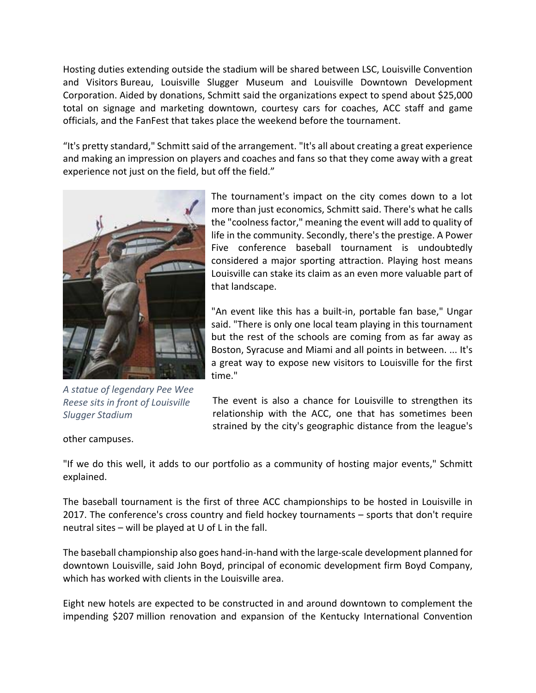Hosting duties extending outside the stadium will be shared between LSC, Louisville Convention and Visitors Bureau, Louisville Slugger Museum and Louisville Downtown Development Corporation. Aided by donations, Schmitt said the organizations expect to spend about \$25,000 total on signage and marketing downtown, courtesy cars for coaches, ACC staff and game officials, and the FanFest that takes place the weekend before the tournament.

"It's pretty standard," Schmitt said of the arrangement. "It's all about creating a great experience and making an impression on players and coaches and fans so that they come away with a great experience not just on the field, but off the field."



*A statue of legendary Pee Wee Reese sits in front of Louisville Slugger Stadium*

The tournament's impact on the city comes down to a lot more than just economics, Schmitt said. There's what he calls the "coolnessfactor," meaning the event will add to quality of life in the community. Secondly, there's the prestige. A Power Five conference baseball tournament is undoubtedly considered a major sporting attraction. Playing host means Louisville can stake its claim as an even more valuable part of that landscape.

"An event like this has a built‐in, portable fan base," Ungar said. "There is only one local team playing in this tournament but the rest of the schools are coming from as far away as Boston, Syracuse and Miami and all points in between. ... It's a great way to expose new visitors to Louisville for the first time."

The event is also a chance for Louisville to strengthen its relationship with the ACC, one that has sometimes been strained by the city's geographic distance from the league's

other campuses.

"If we do this well, it adds to our portfolio as a community of hosting major events," Schmitt explained.

The baseball tournament is the first of three ACC championships to be hosted in Louisville in 2017. The conference's cross country and field hockey tournaments – sports that don't require neutral sites – will be played at U of L in the fall.

The baseball championship also goes hand‐in‐hand with the large‐scale development planned for downtown Louisville, said John Boyd, principal of economic development firm Boyd Company, which has worked with clients in the Louisville area.

Eight new hotels are expected to be constructed in and around downtown to complement the impending \$207 million renovation and expansion of the Kentucky International Convention